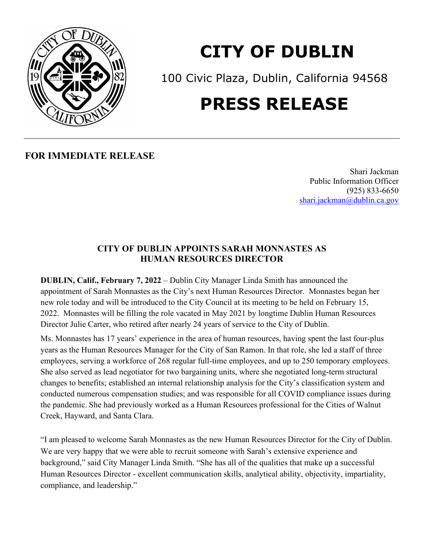

## **CITY OF DUBLIN**

100 Civic Plaza, Dublin, California 94568

## **PRESS RELEASE**

**FOR IMMEDIATE RELEASE**

Shari Jackman Public Information Officer (925) 833-6650 [shari.jackman@dublin.ca.gov](mailto:shari.jackman@dublin.ca.gov)

## **CITY OF DUBLIN APPOINTS SARAH MONNASTES AS HUMAN RESOURCES DIRECTOR**

**DUBLIN, Calif., February 7, 2022** – Dublin City Manager Linda Smith has announced the appointment of Sarah Monnastes as the City's next Human Resources Director. Monnastes began her new role today and will be introduced to the City Council at its meeting to be held on February 15, 2022. Monnastes will be filling the role vacated in May 2021 by longtime Dublin Human Resources Director Julie Carter, who retired after nearly 24 years of service to the City of Dublin.

Ms. Monnastes has 17 years' experience in the area of human resources, having spent the last four-plus years as the Human Resources Manager for the City of San Ramon. In that role, she led a staff of three employees, serving a workforce of 268 regular full-time employees, and up to 250 temporary employees. She also served as lead negotiator for two bargaining units, where she negotiated long-term structural changes to benefits; established an internal relationship analysis for the City's classification system and conducted numerous compensation studies; and was responsible for all COVID compliance issues during the pandemic. She had previously worked as a Human Resources professional for the Cities of Walnut Creek, Hayward, and Santa Clara.

"I am pleased to welcome Sarah Monnastes as the new Human Resources Director for the City of Dublin. We are very happy that we were able to recruit someone with Sarah's extensive experience and background," said City Manager Linda Smith. "She has all of the qualities that make up a successful Human Resources Director - excellent communication skills, analytical ability, objectivity, impartiality, compliance, and leadership."